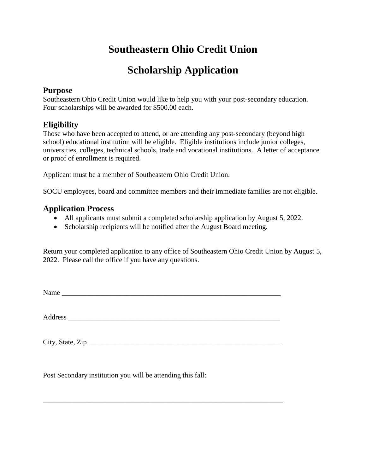# **Southeastern Ohio Credit Union**

## **Scholarship Application**

#### **Purpose**

Southeastern Ohio Credit Union would like to help you with your post-secondary education. Four scholarships will be awarded for \$500.00 each.

### **Eligibility**

Those who have been accepted to attend, or are attending any post-secondary (beyond high school) educational institution will be eligible. Eligible institutions include junior colleges, universities, colleges, technical schools, trade and vocational institutions. A letter of acceptance or proof of enrollment is required.

Applicant must be a member of Southeastern Ohio Credit Union.

SOCU employees, board and committee members and their immediate families are not eligible.

#### **Application Process**

- All applicants must submit a completed scholarship application by August 5, 2022.
- Scholarship recipients will be notified after the August Board meeting.

Return your completed application to any office of Southeastern Ohio Credit Union by August 5, 2022. Please call the office if you have any questions.

Name

Address \_\_\_\_\_\_\_\_\_\_\_\_\_\_\_\_\_\_\_\_\_\_\_\_\_\_\_\_\_\_\_\_\_\_\_\_\_\_\_\_\_\_\_\_\_\_\_\_\_\_\_\_\_\_\_\_\_\_\_

\_\_\_\_\_\_\_\_\_\_\_\_\_\_\_\_\_\_\_\_\_\_\_\_\_\_\_\_\_\_\_\_\_\_\_\_\_\_\_\_\_\_\_\_\_\_\_\_\_\_\_\_\_\_\_\_\_\_\_\_\_\_\_\_\_\_\_

 $City, State, Zip$ 

Post Secondary institution you will be attending this fall: